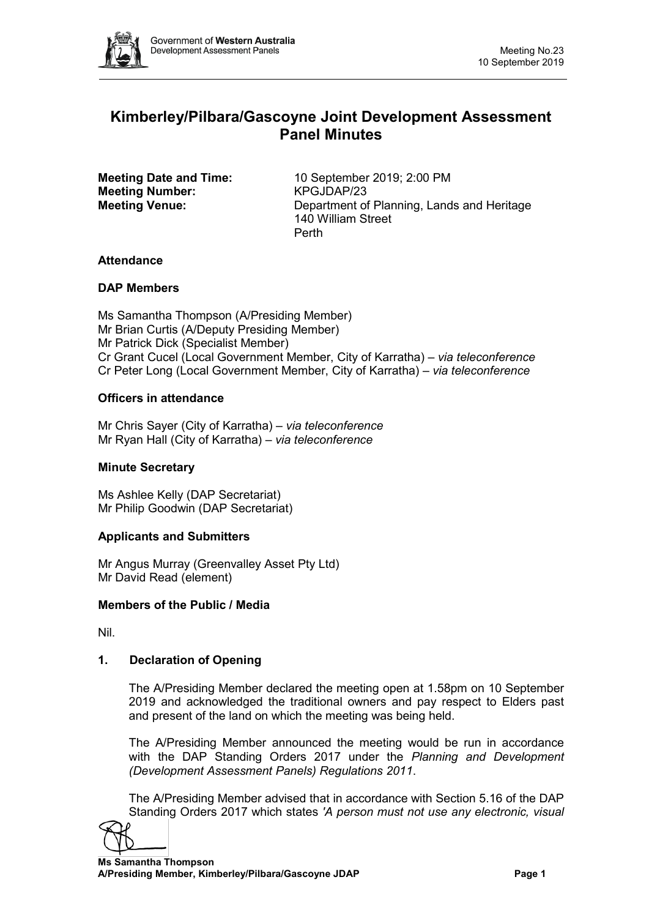

# **Kimberley/Pilbara/Gascoyne Joint Development Assessment Panel Minutes**

**Meeting Number:** 

**Meeting Date and Time:** 10 September 2019; 2:00 PM<br> **Meeting Number:** KPGJDAP/23 **Meeting Venue:** Department of Planning, Lands and Heritage 140 William Street Perth

## **Attendance**

## **DAP Members**

Ms Samantha Thompson (A/Presiding Member) Mr Brian Curtis (A/Deputy Presiding Member) Mr Patrick Dick (Specialist Member) Cr Grant Cucel (Local Government Member, City of Karratha) – *via teleconference* Cr Peter Long (Local Government Member, City of Karratha) – *via teleconference*

## **Officers in attendance**

Mr Chris Sayer (City of Karratha) – *via teleconference* Mr Ryan Hall (City of Karratha) – *via teleconference*

## **Minute Secretary**

Ms Ashlee Kelly (DAP Secretariat) Mr Philip Goodwin (DAP Secretariat)

## **Applicants and Submitters**

Mr Angus Murray (Greenvalley Asset Pty Ltd) Mr David Read (element)

## **Members of the Public / Media**

Nil.

## **1. Declaration of Opening**

The A/Presiding Member declared the meeting open at 1.58pm on 10 September 2019 and acknowledged the traditional owners and pay respect to Elders past and present of the land on which the meeting was being held.

The A/Presiding Member announced the meeting would be run in accordance with the DAP Standing Orders 2017 under the *Planning and Development (Development Assessment Panels) Regulations 2011*.

The A/Presiding Member advised that in accordance with Section 5.16 of the DAP Standing Orders 2017 which states *'A person must not use any electronic, visual* 

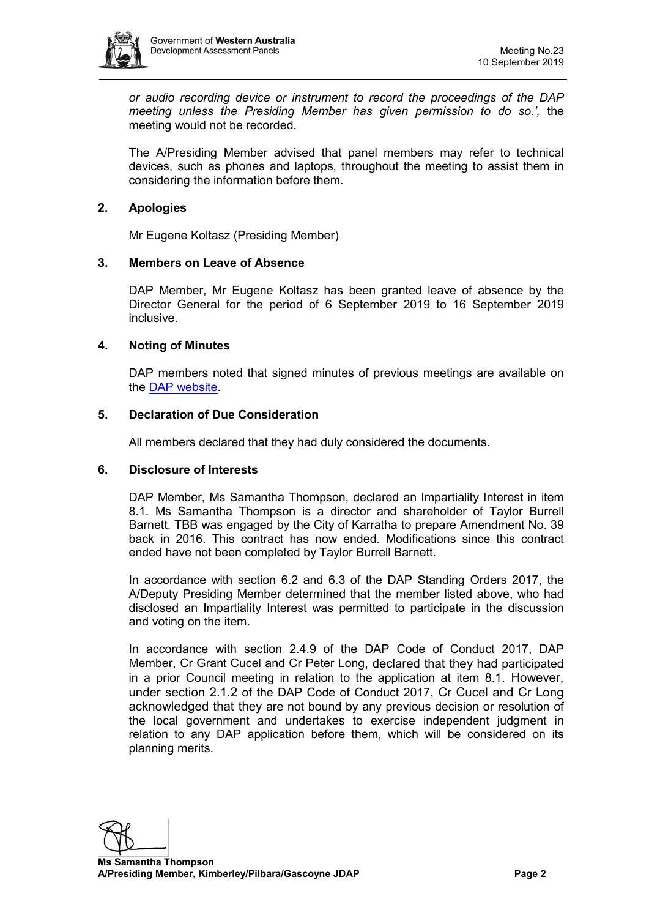

*or audio recording device or instrument to record the proceedings of the DAP meeting unless the Presiding Member has given permission to do so.',* the meeting would not be recorded.

The A/Presiding Member advised that panel members may refer to technical devices, such as phones and laptops, throughout the meeting to assist them in considering the information before them.

## **2. Apologies**

Mr Eugene Koltasz (Presiding Member)

## **3. Members on Leave of Absence**

DAP Member, Mr Eugene Koltasz has been granted leave of absence by the Director General for the period of 6 September 2019 to 16 September 2019 inclusive.

## **4. Noting of Minutes**

DAP members noted that signed minutes of previous meetings are available on the [DAP website.](https://www.dplh.wa.gov.au/about/development-assessment-panels/daps-agendas-and-minutes)

## **5. Declaration of Due Consideration**

All members declared that they had duly considered the documents.

## **6. Disclosure of Interests**

DAP Member, Ms Samantha Thompson, declared an Impartiality Interest in item 8.1. Ms Samantha Thompson is a director and shareholder of Taylor Burrell Barnett. TBB was engaged by the City of Karratha to prepare Amendment No. 39 back in 2016. This contract has now ended. Modifications since this contract ended have not been completed by Taylor Burrell Barnett.

In accordance with section 6.2 and 6.3 of the DAP Standing Orders 2017, the A/Deputy Presiding Member determined that the member listed above, who had disclosed an Impartiality Interest was permitted to participate in the discussion and voting on the item.

In accordance with section 2.4.9 of the DAP Code of Conduct 2017, DAP Member, Cr Grant Cucel and Cr Peter Long, declared that they had participated in a prior Council meeting in relation to the application at item 8.1. However, under section 2.1.2 of the DAP Code of Conduct 2017, Cr Cucel and Cr Long acknowledged that they are not bound by any previous decision or resolution of the local government and undertakes to exercise independent judgment in relation to any DAP application before them, which will be considered on its planning merits.

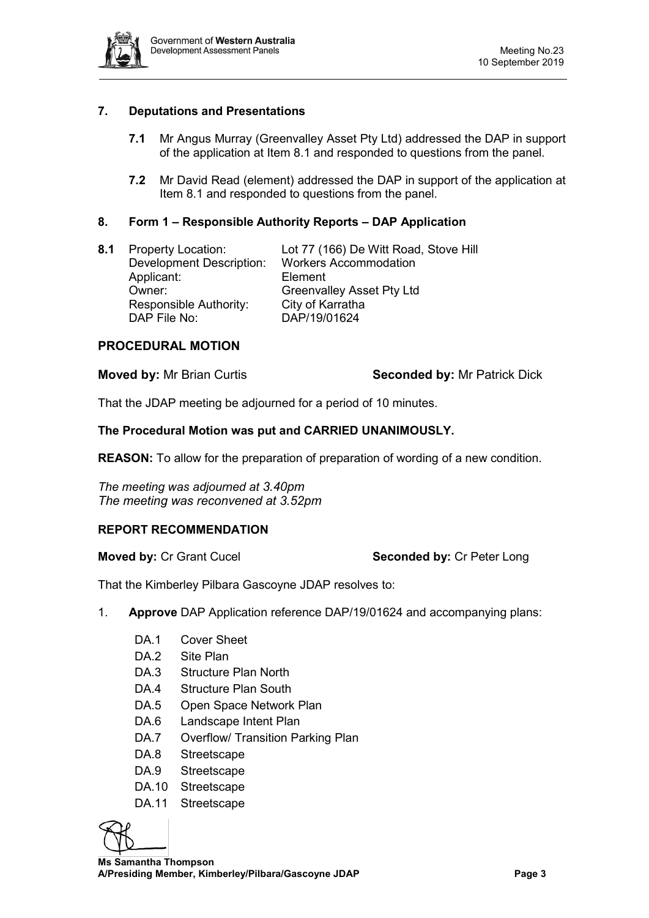

## **7. Deputations and Presentations**

- **7.1** Mr Angus Murray (Greenvalley Asset Pty Ltd) addressed the DAP in support of the application at Item 8.1 and responded to questions from the panel.
- **7.2** Mr David Read (element) addressed the DAP in support of the application at Item 8.1 and responded to questions from the panel.

## **8. Form 1 – Responsible Authority Reports – DAP Application**

**8.1** Property Location: Lot 77 (166) De Witt Road, Stove Hill Development Description: Workers Accommodation Applicant: Element Owner: Greenvalley Asset Pty Ltd Responsible Authority: City of Karratha<br>DAP File No: DAP/19/01624 DAP/19/01624

### **PROCEDURAL MOTION**

#### **Moved by:** Mr Brian Curtis **Seconded by:** Mr Patrick Dick

That the JDAP meeting be adjourned for a period of 10 minutes.

#### **The Procedural Motion was put and CARRIED UNANIMOUSLY.**

**REASON:** To allow for the preparation of preparation of wording of a new condition.

*The meeting was adjourned at 3.40pm The meeting was reconvened at 3.52pm*

### **REPORT RECOMMENDATION**

### **Moved by: Cr Grant Cucel <b>Seconded by: Cr Peter Long**

That the Kimberley Pilbara Gascoyne JDAP resolves to:

- 1. **Approve** DAP Application reference DAP/19/01624 and accompanying plans:
	- DA.1 Cover Sheet
	- DA.2 Site Plan
	- DA.3 Structure Plan North
	- DA.4 Structure Plan South
	- DA.5 Open Space Network Plan
	- DA.6 Landscape Intent Plan
	- DA.7 Overflow/ Transition Parking Plan
	- DA.8 Streetscape
	- DA.9 Streetscape
	- DA.10 Streetscape
	- DA.11 Streetscape



 **Ms Samantha Thompson A/Presiding Member, Kimberley/Pilbara/Gascoyne JDAP Page 3**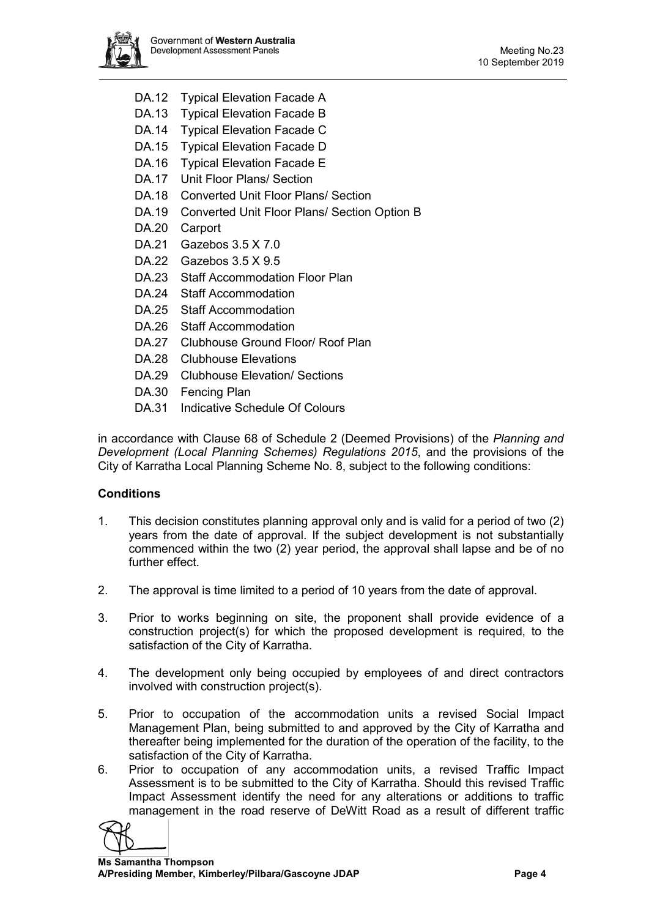

- DA.12 Typical Elevation Facade A
- DA.13 Typical Elevation Facade B
- DA.14 Typical Elevation Facade C
- DA.15 Typical Elevation Facade D
- DA.16 Typical Elevation Facade E
- DA.17 Unit Floor Plans/ Section
- DA.18 Converted Unit Floor Plans/ Section
- DA.19 Converted Unit Floor Plans/ Section Option B
- DA.20 Carport
- DA.21 Gazebos 3.5 X 7.0
- DA.22 Gazebos 3.5 X 9.5
- DA.23 Staff Accommodation Floor Plan
- DA.24 Staff Accommodation
- DA.25 Staff Accommodation
- DA.26 Staff Accommodation
- DA.27 Clubhouse Ground Floor/ Roof Plan
- DA.28 Clubhouse Elevations
- DA.29 Clubhouse Elevation/ Sections
- DA.30 Fencing Plan
- DA.31 Indicative Schedule Of Colours

in accordance with Clause 68 of Schedule 2 (Deemed Provisions) of the *Planning and Development (Local Planning Schemes) Regulations 2015*, and the provisions of the City of Karratha Local Planning Scheme No. 8, subject to the following conditions:

## **Conditions**

- 1. This decision constitutes planning approval only and is valid for a period of two (2) years from the date of approval. If the subject development is not substantially commenced within the two (2) year period, the approval shall lapse and be of no further effect.
- 2. The approval is time limited to a period of 10 years from the date of approval.
- 3. Prior to works beginning on site, the proponent shall provide evidence of a construction project(s) for which the proposed development is required, to the satisfaction of the City of Karratha.
- 4. The development only being occupied by employees of and direct contractors involved with construction project(s).
- 5. Prior to occupation of the accommodation units a revised Social Impact Management Plan, being submitted to and approved by the City of Karratha and thereafter being implemented for the duration of the operation of the facility, to the satisfaction of the City of Karratha.
- 6. Prior to occupation of any accommodation units, a revised Traffic Impact Assessment is to be submitted to the City of Karratha. Should this revised Traffic Impact Assessment identify the need for any alterations or additions to traffic management in the road reserve of DeWitt Road as a result of different traffic

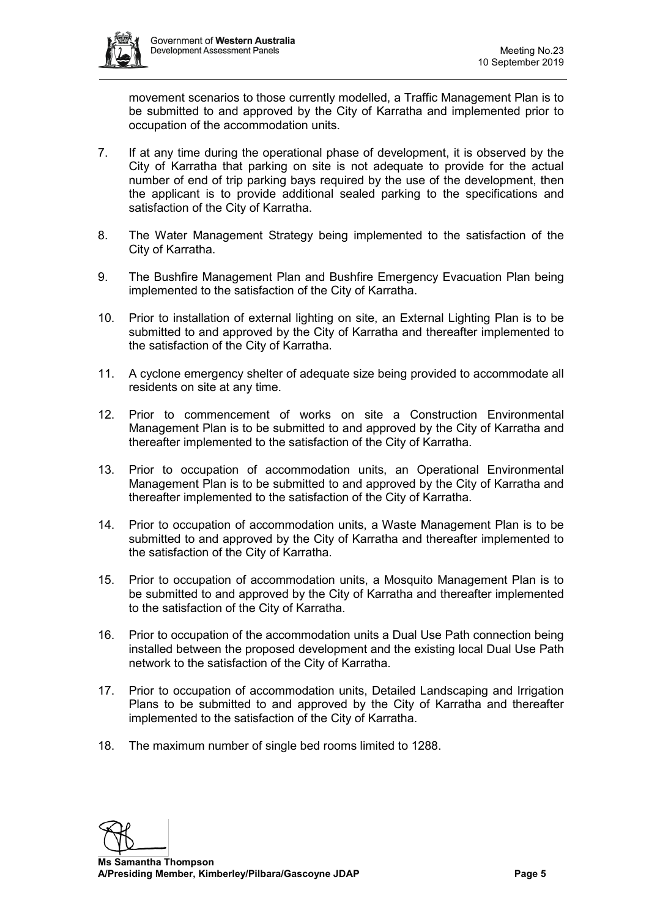

movement scenarios to those currently modelled, a Traffic Management Plan is to be submitted to and approved by the City of Karratha and implemented prior to occupation of the accommodation units.

- 7. If at any time during the operational phase of development, it is observed by the City of Karratha that parking on site is not adequate to provide for the actual number of end of trip parking bays required by the use of the development, then the applicant is to provide additional sealed parking to the specifications and satisfaction of the City of Karratha.
- 8. The Water Management Strategy being implemented to the satisfaction of the City of Karratha.
- 9. The Bushfire Management Plan and Bushfire Emergency Evacuation Plan being implemented to the satisfaction of the City of Karratha.
- 10. Prior to installation of external lighting on site, an External Lighting Plan is to be submitted to and approved by the City of Karratha and thereafter implemented to the satisfaction of the City of Karratha.
- 11. A cyclone emergency shelter of adequate size being provided to accommodate all residents on site at any time.
- 12. Prior to commencement of works on site a Construction Environmental Management Plan is to be submitted to and approved by the City of Karratha and thereafter implemented to the satisfaction of the City of Karratha.
- 13. Prior to occupation of accommodation units, an Operational Environmental Management Plan is to be submitted to and approved by the City of Karratha and thereafter implemented to the satisfaction of the City of Karratha.
- 14. Prior to occupation of accommodation units, a Waste Management Plan is to be submitted to and approved by the City of Karratha and thereafter implemented to the satisfaction of the City of Karratha.
- 15. Prior to occupation of accommodation units, a Mosquito Management Plan is to be submitted to and approved by the City of Karratha and thereafter implemented to the satisfaction of the City of Karratha.
- 16. Prior to occupation of the accommodation units a Dual Use Path connection being installed between the proposed development and the existing local Dual Use Path network to the satisfaction of the City of Karratha.
- 17. Prior to occupation of accommodation units, Detailed Landscaping and Irrigation Plans to be submitted to and approved by the City of Karratha and thereafter implemented to the satisfaction of the City of Karratha.
- 18. The maximum number of single bed rooms limited to 1288.

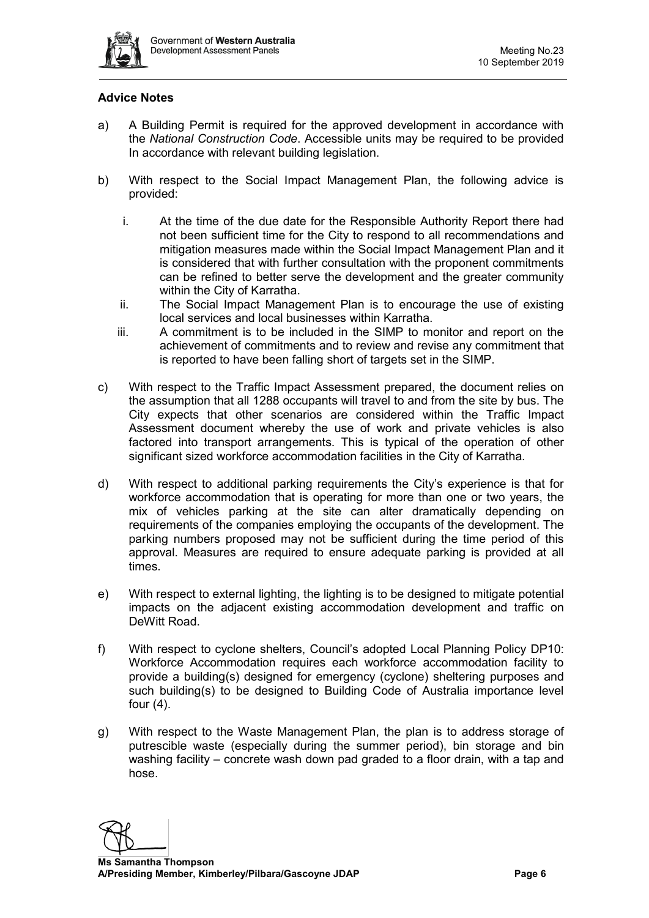

## **Advice Notes**

- a) A Building Permit is required for the approved development in accordance with the *National Construction Code*. Accessible units may be required to be provided In accordance with relevant building legislation.
- b) With respect to the Social Impact Management Plan, the following advice is provided:
	- i. At the time of the due date for the Responsible Authority Report there had not been sufficient time for the City to respond to all recommendations and mitigation measures made within the Social Impact Management Plan and it is considered that with further consultation with the proponent commitments can be refined to better serve the development and the greater community within the City of Karratha.
	- ii. The Social Impact Management Plan is to encourage the use of existing local services and local businesses within Karratha.
	- iii. A commitment is to be included in the SIMP to monitor and report on the achievement of commitments and to review and revise any commitment that is reported to have been falling short of targets set in the SIMP.
- c) With respect to the Traffic Impact Assessment prepared, the document relies on the assumption that all 1288 occupants will travel to and from the site by bus. The City expects that other scenarios are considered within the Traffic Impact Assessment document whereby the use of work and private vehicles is also factored into transport arrangements. This is typical of the operation of other significant sized workforce accommodation facilities in the City of Karratha.
- d) With respect to additional parking requirements the City's experience is that for workforce accommodation that is operating for more than one or two years, the mix of vehicles parking at the site can alter dramatically depending on requirements of the companies employing the occupants of the development. The parking numbers proposed may not be sufficient during the time period of this approval. Measures are required to ensure adequate parking is provided at all times.
- e) With respect to external lighting, the lighting is to be designed to mitigate potential impacts on the adjacent existing accommodation development and traffic on DeWitt Road.
- f) With respect to cyclone shelters, Council's adopted Local Planning Policy DP10: Workforce Accommodation requires each workforce accommodation facility to provide a building(s) designed for emergency (cyclone) sheltering purposes and such building(s) to be designed to Building Code of Australia importance level four (4).
- g) With respect to the Waste Management Plan, the plan is to address storage of putrescible waste (especially during the summer period), bin storage and bin washing facility – concrete wash down pad graded to a floor drain, with a tap and hose.

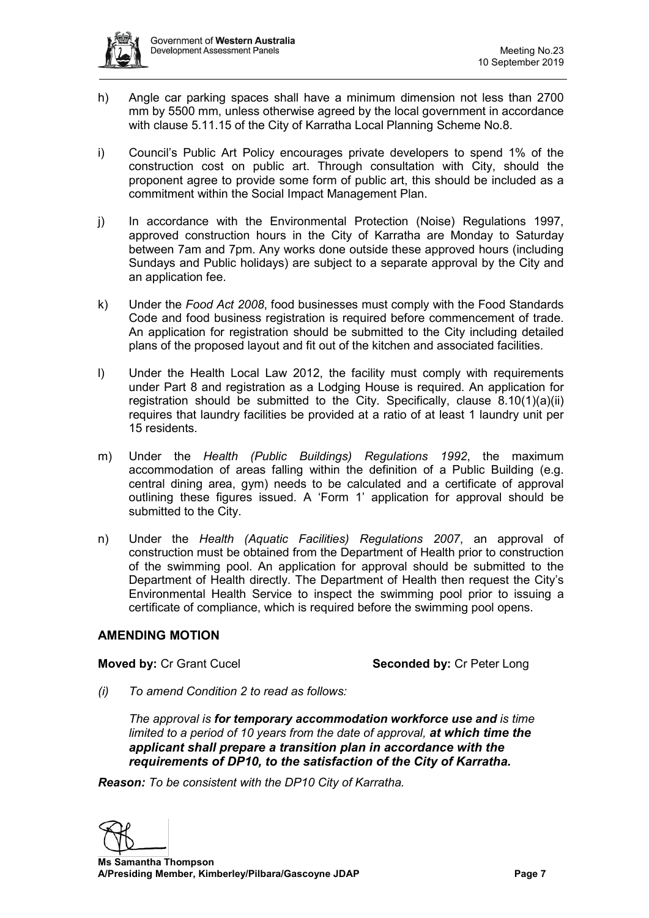- h) Angle car parking spaces shall have a minimum dimension not less than 2700 mm by 5500 mm, unless otherwise agreed by the local government in accordance with clause 5.11.15 of the City of Karratha Local Planning Scheme No.8.
- i) Council's Public Art Policy encourages private developers to spend 1% of the construction cost on public art. Through consultation with City, should the proponent agree to provide some form of public art, this should be included as a commitment within the Social Impact Management Plan.
- j) In accordance with the Environmental Protection (Noise) Regulations 1997, approved construction hours in the City of Karratha are Monday to Saturday between 7am and 7pm. Any works done outside these approved hours (including Sundays and Public holidays) are subject to a separate approval by the City and an application fee.
- k) Under the *Food Act 2008*, food businesses must comply with the Food Standards Code and food business registration is required before commencement of trade. An application for registration should be submitted to the City including detailed plans of the proposed layout and fit out of the kitchen and associated facilities.
- l) Under the Health Local Law 2012, the facility must comply with requirements under Part 8 and registration as a Lodging House is required. An application for registration should be submitted to the City. Specifically, clause 8.10(1)(a)(ii) requires that laundry facilities be provided at a ratio of at least 1 laundry unit per 15 residents.
- m) Under the *Health (Public Buildings) Regulations 1992*, the maximum accommodation of areas falling within the definition of a Public Building (e.g. central dining area, gym) needs to be calculated and a certificate of approval outlining these figures issued. A 'Form 1' application for approval should be submitted to the City.
- n) Under the *Health (Aquatic Facilities) Regulations 2007*, an approval of construction must be obtained from the Department of Health prior to construction of the swimming pool. An application for approval should be submitted to the Department of Health directly. The Department of Health then request the City's Environmental Health Service to inspect the swimming pool prior to issuing a certificate of compliance, which is required before the swimming pool opens.

## **AMENDING MOTION**

**Moved by: Cr Grant Cucel <b>Seconded by: Cr Peter Long** 

*(i) To amend Condition 2 to read as follows:*

*The approval is for temporary accommodation workforce use and is time limited to a period of 10 years from the date of approval, at which time the applicant shall prepare a transition plan in accordance with the requirements of DP10, to the satisfaction of the City of Karratha.*

*Reason: To be consistent with the DP10 City of Karratha.*

 **Ms Samantha Thompson A/Presiding Member, Kimberley/Pilbara/Gascoyne JDAP Page 7**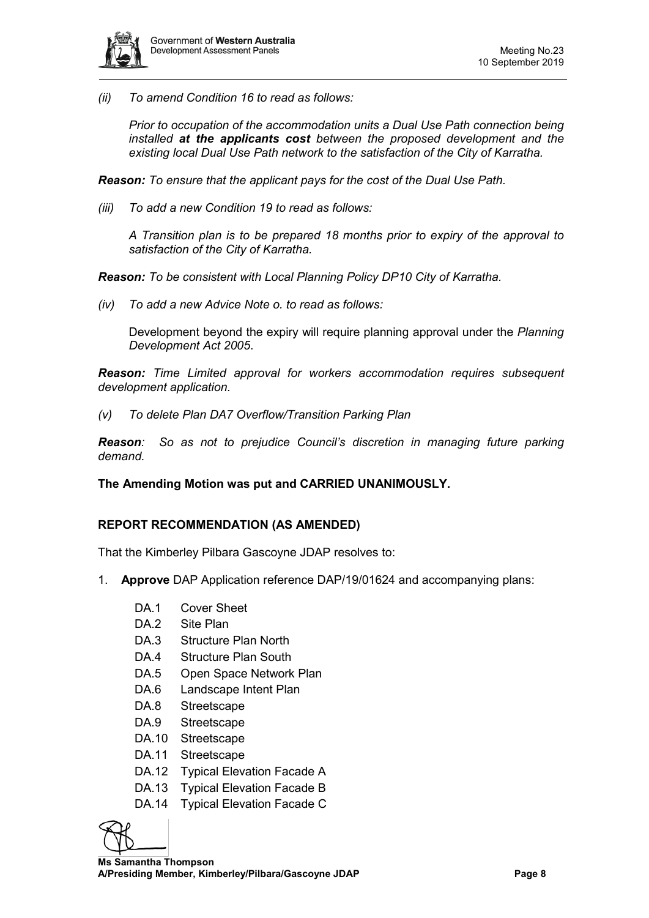

*(ii) To amend Condition 16 to read as follows:*

*Prior to occupation of the accommodation units a Dual Use Path connection being installed at the applicants cost between the proposed development and the existing local Dual Use Path network to the satisfaction of the City of Karratha.*

*Reason: To ensure that the applicant pays for the cost of the Dual Use Path.*

*(iii) To add a new Condition 19 to read as follows:*

*A Transition plan is to be prepared 18 months prior to expiry of the approval to satisfaction of the City of Karratha.*

*Reason: To be consistent with Local Planning Policy DP10 City of Karratha.*

*(iv) To add a new Advice Note o. to read as follows:*

Development beyond the expiry will require planning approval under the *Planning Development Act 2005*.

*Reason: Time Limited approval for workers accommodation requires subsequent development application.*

*(v) To delete Plan DA7 Overflow/Transition Parking Plan*

*Reason: So as not to prejudice Council's discretion in managing future parking demand.*

## **The Amending Motion was put and CARRIED UNANIMOUSLY.**

### **REPORT RECOMMENDATION (AS AMENDED)**

That the Kimberley Pilbara Gascoyne JDAP resolves to:

- 1. **Approve** DAP Application reference DAP/19/01624 and accompanying plans:
	- DA.1 Cover Sheet
	- DA.2 Site Plan
	- DA.3 Structure Plan North
	- DA.4 Structure Plan South
	- DA.5 Open Space Network Plan
	- DA.6 Landscape Intent Plan
	- DA.8 Streetscape
	- DA.9 Streetscape
	- DA.10 Streetscape
	- DA.11 Streetscape
	- DA.12 Typical Elevation Facade A
	- DA.13 Typical Elevation Facade B
	- DA.14 Typical Elevation Facade C

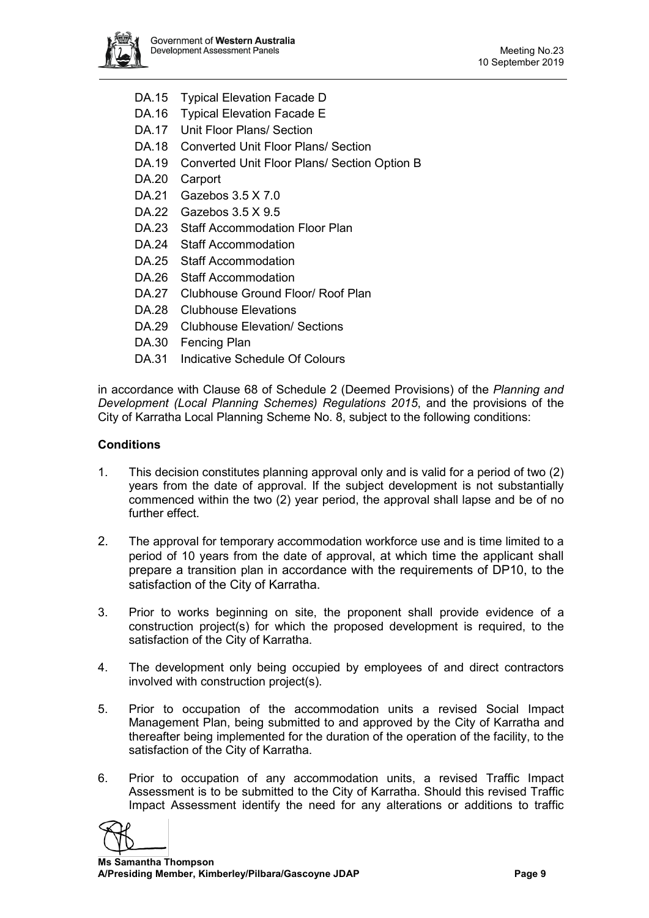

- DA.15 Typical Elevation Facade D
- DA.16 Typical Elevation Facade E
- DA.17 Unit Floor Plans/ Section
- DA.18 Converted Unit Floor Plans/ Section
- DA.19 Converted Unit Floor Plans/ Section Option B
- DA.20 Carport
- DA.21 Gazebos 3.5 X 7.0
- DA.22 Gazebos 3.5 X 9.5
- DA.23 Staff Accommodation Floor Plan
- DA.24 Staff Accommodation
- DA.25 Staff Accommodation
- DA.26 Staff Accommodation
- DA.27 Clubhouse Ground Floor/ Roof Plan
- DA.28 Clubhouse Elevations
- DA.29 Clubhouse Elevation/ Sections
- DA.30 Fencing Plan
- DA.31 Indicative Schedule Of Colours

in accordance with Clause 68 of Schedule 2 (Deemed Provisions) of the *Planning and Development (Local Planning Schemes) Regulations 2015*, and the provisions of the City of Karratha Local Planning Scheme No. 8, subject to the following conditions:

## **Conditions**

- 1. This decision constitutes planning approval only and is valid for a period of two (2) years from the date of approval. If the subject development is not substantially commenced within the two (2) year period, the approval shall lapse and be of no further effect.
- 2. The approval for temporary accommodation workforce use and is time limited to a period of 10 years from the date of approval, at which time the applicant shall prepare a transition plan in accordance with the requirements of DP10, to the satisfaction of the City of Karratha.
- 3. Prior to works beginning on site, the proponent shall provide evidence of a construction project(s) for which the proposed development is required, to the satisfaction of the City of Karratha.
- 4. The development only being occupied by employees of and direct contractors involved with construction project(s).
- 5. Prior to occupation of the accommodation units a revised Social Impact Management Plan, being submitted to and approved by the City of Karratha and thereafter being implemented for the duration of the operation of the facility, to the satisfaction of the City of Karratha.
- 6. Prior to occupation of any accommodation units, a revised Traffic Impact Assessment is to be submitted to the City of Karratha. Should this revised Traffic Impact Assessment identify the need for any alterations or additions to traffic

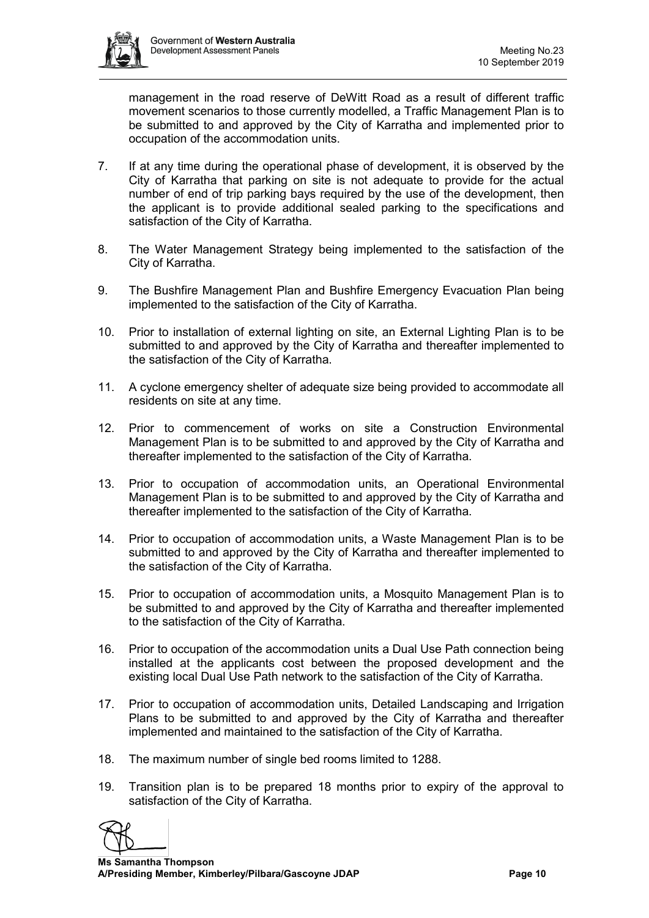

management in the road reserve of DeWitt Road as a result of different traffic movement scenarios to those currently modelled, a Traffic Management Plan is to be submitted to and approved by the City of Karratha and implemented prior to occupation of the accommodation units.

- 7. If at any time during the operational phase of development, it is observed by the City of Karratha that parking on site is not adequate to provide for the actual number of end of trip parking bays required by the use of the development, then the applicant is to provide additional sealed parking to the specifications and satisfaction of the City of Karratha.
- 8. The Water Management Strategy being implemented to the satisfaction of the City of Karratha.
- 9. The Bushfire Management Plan and Bushfire Emergency Evacuation Plan being implemented to the satisfaction of the City of Karratha.
- 10. Prior to installation of external lighting on site, an External Lighting Plan is to be submitted to and approved by the City of Karratha and thereafter implemented to the satisfaction of the City of Karratha.
- 11. A cyclone emergency shelter of adequate size being provided to accommodate all residents on site at any time.
- 12. Prior to commencement of works on site a Construction Environmental Management Plan is to be submitted to and approved by the City of Karratha and thereafter implemented to the satisfaction of the City of Karratha.
- 13. Prior to occupation of accommodation units, an Operational Environmental Management Plan is to be submitted to and approved by the City of Karratha and thereafter implemented to the satisfaction of the City of Karratha.
- 14. Prior to occupation of accommodation units, a Waste Management Plan is to be submitted to and approved by the City of Karratha and thereafter implemented to the satisfaction of the City of Karratha.
- 15. Prior to occupation of accommodation units, a Mosquito Management Plan is to be submitted to and approved by the City of Karratha and thereafter implemented to the satisfaction of the City of Karratha.
- 16. Prior to occupation of the accommodation units a Dual Use Path connection being installed at the applicants cost between the proposed development and the existing local Dual Use Path network to the satisfaction of the City of Karratha.
- 17. Prior to occupation of accommodation units, Detailed Landscaping and Irrigation Plans to be submitted to and approved by the City of Karratha and thereafter implemented and maintained to the satisfaction of the City of Karratha.
- 18. The maximum number of single bed rooms limited to 1288.
- 19. Transition plan is to be prepared 18 months prior to expiry of the approval to satisfaction of the City of Karratha.

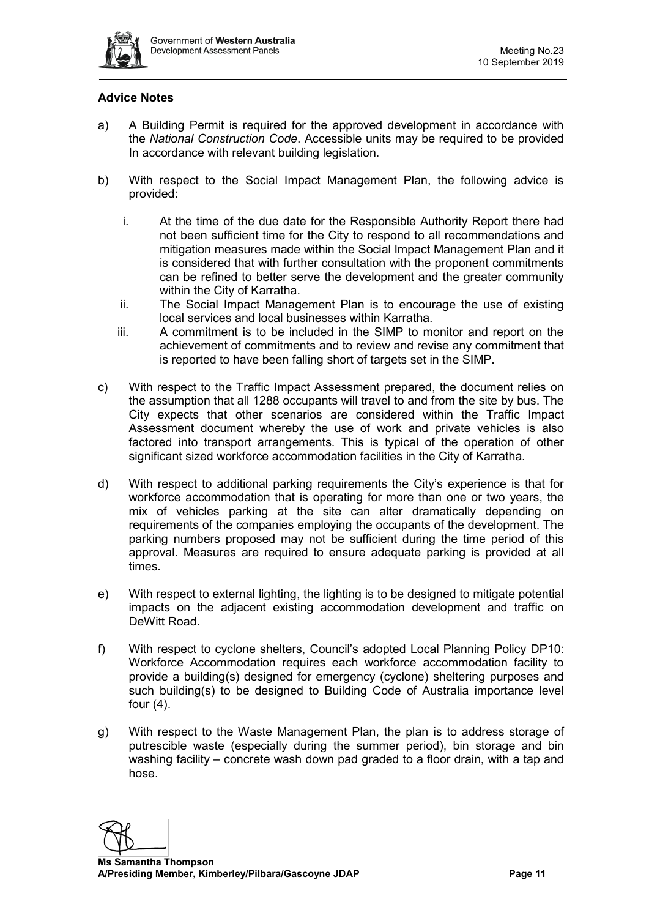

## **Advice Notes**

- a) A Building Permit is required for the approved development in accordance with the *National Construction Code*. Accessible units may be required to be provided In accordance with relevant building legislation.
- b) With respect to the Social Impact Management Plan, the following advice is provided:
	- i. At the time of the due date for the Responsible Authority Report there had not been sufficient time for the City to respond to all recommendations and mitigation measures made within the Social Impact Management Plan and it is considered that with further consultation with the proponent commitments can be refined to better serve the development and the greater community within the City of Karratha.
	- ii. The Social Impact Management Plan is to encourage the use of existing local services and local businesses within Karratha.
	- iii. A commitment is to be included in the SIMP to monitor and report on the achievement of commitments and to review and revise any commitment that is reported to have been falling short of targets set in the SIMP.
- c) With respect to the Traffic Impact Assessment prepared, the document relies on the assumption that all 1288 occupants will travel to and from the site by bus. The City expects that other scenarios are considered within the Traffic Impact Assessment document whereby the use of work and private vehicles is also factored into transport arrangements. This is typical of the operation of other significant sized workforce accommodation facilities in the City of Karratha.
- d) With respect to additional parking requirements the City's experience is that for workforce accommodation that is operating for more than one or two years, the mix of vehicles parking at the site can alter dramatically depending on requirements of the companies employing the occupants of the development. The parking numbers proposed may not be sufficient during the time period of this approval. Measures are required to ensure adequate parking is provided at all times.
- e) With respect to external lighting, the lighting is to be designed to mitigate potential impacts on the adjacent existing accommodation development and traffic on DeWitt Road.
- f) With respect to cyclone shelters, Council's adopted Local Planning Policy DP10: Workforce Accommodation requires each workforce accommodation facility to provide a building(s) designed for emergency (cyclone) sheltering purposes and such building(s) to be designed to Building Code of Australia importance level four (4).
- g) With respect to the Waste Management Plan, the plan is to address storage of putrescible waste (especially during the summer period), bin storage and bin washing facility – concrete wash down pad graded to a floor drain, with a tap and hose.

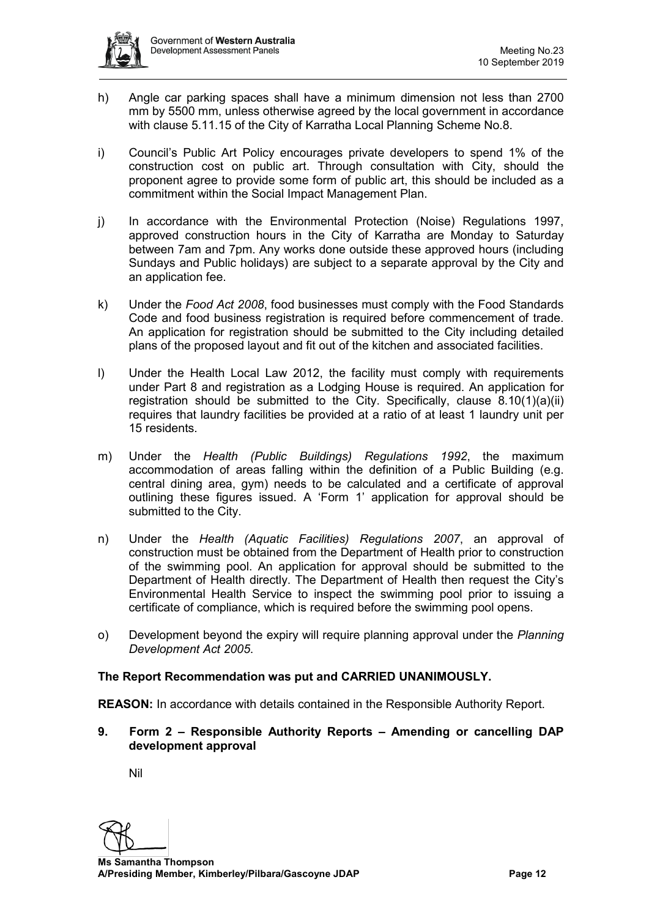- h) Angle car parking spaces shall have a minimum dimension not less than 2700 mm by 5500 mm, unless otherwise agreed by the local government in accordance with clause 5.11.15 of the City of Karratha Local Planning Scheme No.8.
- i) Council's Public Art Policy encourages private developers to spend 1% of the construction cost on public art. Through consultation with City, should the proponent agree to provide some form of public art, this should be included as a commitment within the Social Impact Management Plan.
- j) In accordance with the Environmental Protection (Noise) Regulations 1997, approved construction hours in the City of Karratha are Monday to Saturday between 7am and 7pm. Any works done outside these approved hours (including Sundays and Public holidays) are subject to a separate approval by the City and an application fee.
- k) Under the *Food Act 2008*, food businesses must comply with the Food Standards Code and food business registration is required before commencement of trade. An application for registration should be submitted to the City including detailed plans of the proposed layout and fit out of the kitchen and associated facilities.
- l) Under the Health Local Law 2012, the facility must comply with requirements under Part 8 and registration as a Lodging House is required. An application for registration should be submitted to the City. Specifically, clause 8.10(1)(a)(ii) requires that laundry facilities be provided at a ratio of at least 1 laundry unit per 15 residents.
- m) Under the *Health (Public Buildings) Regulations 1992*, the maximum accommodation of areas falling within the definition of a Public Building (e.g. central dining area, gym) needs to be calculated and a certificate of approval outlining these figures issued. A 'Form 1' application for approval should be submitted to the City.
- n) Under the *Health (Aquatic Facilities) Regulations 2007*, an approval of construction must be obtained from the Department of Health prior to construction of the swimming pool. An application for approval should be submitted to the Department of Health directly. The Department of Health then request the City's Environmental Health Service to inspect the swimming pool prior to issuing a certificate of compliance, which is required before the swimming pool opens.
- o) Development beyond the expiry will require planning approval under the *Planning Development Act 2005*.

## **The Report Recommendation was put and CARRIED UNANIMOUSLY.**

**REASON:** In accordance with details contained in the Responsible Authority Report.

**9. Form 2 – Responsible Authority Reports – Amending or cancelling DAP development approval**

Nil